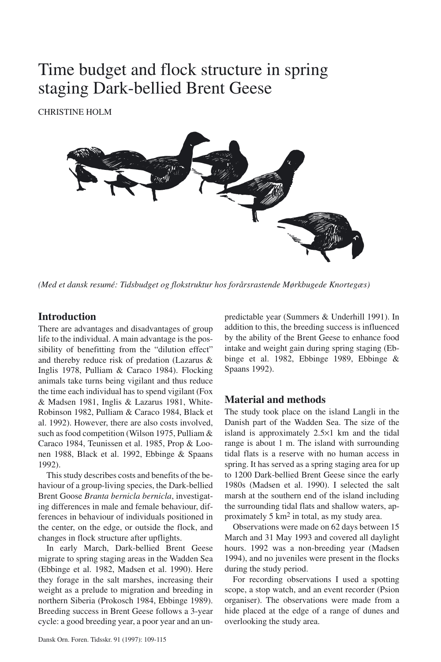# Time budget and flock structure in spring staging Dark-bellied Brent Geese

CHRISTINE HOLM



*(Med et dansk resumé: Tidsbudget og flokstruktur hos forårsrastende Mørkbugede Knortegæs)*

# **Introduction**

There are advantages and disadvantages of group life to the individual. A main advantage is the possibility of benefitting from the "dilution effect" and thereby reduce risk of predation (Lazarus & Inglis 1978, Pulliam & Caraco 1984). Flocking animals take turns being vigilant and thus reduce the time each individual has to spend vigilant (Fox & Madsen 1981, Inglis & Lazarus 1981, White-Robinson 1982, Pulliam & Caraco 1984, Black et al. 1992). However, there are also costs involved, such as food competition (Wilson 1975, Pulliam & Caraco 1984, Teunissen et al. 1985, Prop & Loonen 1988, Black et al. 1992, Ebbinge & Spaans 1992).

This study describes costs and benefits of the behaviour of a group-living species, the Dark-bellied Brent Goose *Branta bernicla bernicla*, investigating differences in male and female behaviour, differences in behaviour of individuals positioned in the center, on the edge, or outside the flock, and changes in flock structure after upflights.

In early March, Dark-bellied Brent Geese migrate to spring staging areas in the Wadden Sea (Ebbinge et al. 1982, Madsen et al. 1990). Here they forage in the salt marshes, increasing their weight as a prelude to migration and breeding in northern Siberia (Prokosch 1984, Ebbinge 1989). Breeding success in Brent Geese follows a 3-year cycle: a good breeding year, a poor year and an unpredictable year (Summers & Underhill 1991). In addition to this, the breeding success is influenced by the ability of the Brent Geese to enhance food intake and weight gain during spring staging (Ebbinge et al. 1982, Ebbinge 1989, Ebbinge & Spaans 1992).

# **Material and methods**

The study took place on the island Langli in the Danish part of the Wadden Sea. The size of the island is approximately 2.5×1 km and the tidal range is about 1 m. The island with surrounding tidal flats is a reserve with no human access in spring. It has served as a spring staging area for up to 1200 Dark-bellied Brent Geese since the early 1980s (Madsen et al. 1990). I selected the salt marsh at the southern end of the island including the surrounding tidal flats and shallow waters, approximately 5 km2 in total, as my study area.

Observations were made on 62 days between 15 March and 31 May 1993 and covered all daylight hours. 1992 was a non-breeding year (Madsen 1994), and no juveniles were present in the flocks during the study period.

For recording observations I used a spotting scope, a stop watch, and an event recorder (Psion organiser). The observations were made from a hide placed at the edge of a range of dunes and overlooking the study area.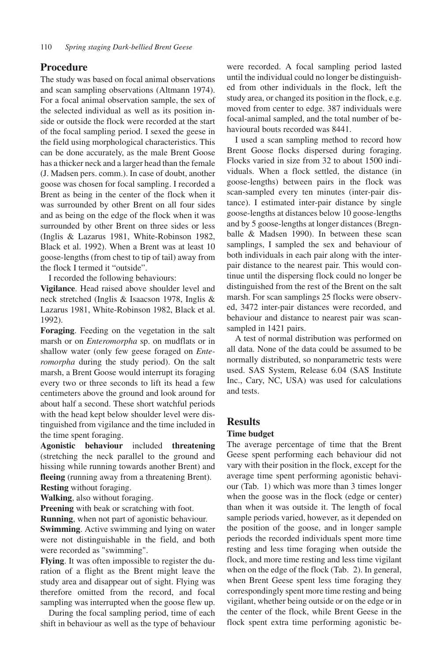# **Procedure**

The study was based on focal animal observations and scan sampling observations (Altmann 1974). For a focal animal observation sample, the sex of the selected individual as well as its position inside or outside the flock were recorded at the start of the focal sampling period. I sexed the geese in the field using morphological characteristics. This can be done accurately, as the male Brent Goose has a thicker neck and a larger head than the female (J. Madsen pers. comm.). In case of doubt, another goose was chosen for focal sampling. I recorded a Brent as being in the center of the flock when it was surrounded by other Brent on all four sides and as being on the edge of the flock when it was surrounded by other Brent on three sides or less (Inglis & Lazarus 1981, White-Robinson 1982, Black et al. 1992). When a Brent was at least 10 goose-lengths (from chest to tip of tail) away from the flock I termed it "outside".

I recorded the following behaviours:

**Vigilance**. Head raised above shoulder level and neck stretched (Inglis & Isaacson 1978, Inglis & Lazarus 1981, White-Robinson 1982, Black et al. 1992).

**Foraging**. Feeding on the vegetation in the salt marsh or on *Enteromorpha* sp. on mudflats or in shallow water (only few geese foraged on *Enteromorpha* during the study period). On the salt marsh, a Brent Goose would interrupt its foraging every two or three seconds to lift its head a few centimeters above the ground and look around for about half a second. These short watchful periods with the head kept below shoulder level were distinguished from vigilance and the time included in the time spent foraging.

**Agonistic behaviour** included **threatening** (stretching the neck parallel to the ground and hissing while running towards another Brent) and **fleeing** (running away from a threatening Brent).

**Resting** without foraging.

**Walking**, also without foraging.

**Preening** with beak or scratching with foot.

**Running**, when not part of agonistic behaviour.

**Swimming**. Active swimming and lying on water were not distinguishable in the field, and both were recorded as "swimming".

**Flying**. It was often impossible to register the duration of a flight as the Brent might leave the study area and disappear out of sight. Flying was therefore omitted from the record, and focal sampling was interrupted when the goose flew up.

During the focal sampling period, time of each shift in behaviour as well as the type of behaviour

were recorded. A focal sampling period lasted until the individual could no longer be distinguished from other individuals in the flock, left the study area, or changed its position in the flock, e.g. moved from center to edge. 387 individuals were focal-animal sampled, and the total number of behavioural bouts recorded was 8441.

I used a scan sampling method to record how Brent Goose flocks dispersed during foraging. Flocks varied in size from 32 to about 1500 individuals. When a flock settled, the distance (in goose-lengths) between pairs in the flock was scan-sampled every ten minutes (inter-pair distance). I estimated inter-pair distance by single goose-lengths at distances below 10 goose-lengths and by 5 goose-lengths at longer distances (Bregnballe & Madsen 1990). In between these scan samplings, I sampled the sex and behaviour of both individuals in each pair along with the interpair distance to the nearest pair. This would continue until the dispersing flock could no longer be distinguished from the rest of the Brent on the salt marsh. For scan samplings 25 flocks were observed, 3472 inter-pair distances were recorded, and behaviour and distance to nearest pair was scansampled in 1421 pairs.

A test of normal distribution was performed on all data. None of the data could be assumed to be normally distributed, so nonparametric tests were used. SAS System, Release 6.04 (SAS Institute Inc., Cary, NC, USA) was used for calculations and tests.

# **Results**

#### **Time budget**

The average percentage of time that the Brent Geese spent performing each behaviour did not vary with their position in the flock, except for the average time spent performing agonistic behaviour (Tab. 1) which was more than 3 times longer when the goose was in the flock (edge or center) than when it was outside it. The length of focal sample periods varied, however, as it depended on the position of the goose, and in longer sample periods the recorded individuals spent more time resting and less time foraging when outside the flock, and more time resting and less time vigilant when on the edge of the flock (Tab. 2). In general, when Brent Geese spent less time foraging they correspondingly spent more time resting and being vigilant, whether being outside or on the edge or in the center of the flock, while Brent Geese in the flock spent extra time performing agonistic be-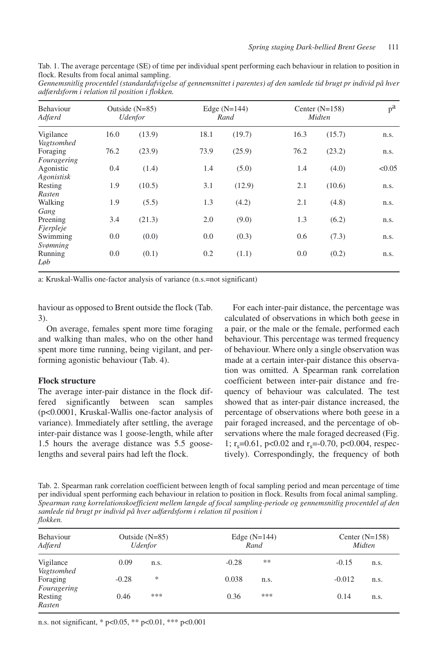| Tab. 1. The average percentage (SE) of time per individual spent performing each behaviour in relation to position in |  |  |  |  |  |
|-----------------------------------------------------------------------------------------------------------------------|--|--|--|--|--|
| flock. Results from focal animal sampling.                                                                            |  |  |  |  |  |

*Gennemsnitlig procentdel (standardafvigelse af gennemsnittet i parentes) af den samlede tid brugt pr individ på hver adfærdsform i relation til position i flokken.*

| Behaviour<br>Adfærd                   |      | Outside $(N=85)$<br><i><u><b>Udenfor</b></u></i> |      | Edge $(N=144)$<br>Rand |      | Center $(N=158)$<br>Midten | $p^a$  |
|---------------------------------------|------|--------------------------------------------------|------|------------------------|------|----------------------------|--------|
| Vigilance                             | 16.0 | (13.9)                                           | 18.1 | (19.7)                 | 16.3 | (15.7)                     | n.s.   |
| Vagtsomhed<br>Foraging<br>Fouragering | 76.2 | (23.9)                                           | 73.9 | (25.9)                 | 76.2 | (23.2)                     | n.s.   |
| Agonistic<br>Agonistisk               | 0.4  | (1.4)                                            | 1.4  | (5.0)                  | 1.4  | (4.0)                      | < 0.05 |
| Resting<br>Rasten                     | 1.9  | (10.5)                                           | 3.1  | (12.9)                 | 2.1  | (10.6)                     | n.s.   |
| Walking<br>Gang                       | 1.9  | (5.5)                                            | 1.3  | (4.2)                  | 2.1  | (4.8)                      | n.s.   |
| Preening<br>Fjerpleje                 | 3.4  | (21.3)                                           | 2.0  | (9.0)                  | 1.3  | (6.2)                      | n.s.   |
| Swimming<br>Svømning                  | 0.0  | (0.0)                                            | 0.0  | (0.3)                  | 0.6  | (7.3)                      | n.s.   |
| Running<br>Løb                        | 0.0  | (0.1)                                            | 0.2  | (1.1)                  | 0.0  | (0.2)                      | n.s.   |

a: Kruskal-Wallis one-factor analysis of variance (n.s.=not significant)

haviour as opposed to Brent outside the flock (Tab. 3).

On average, females spent more time foraging and walking than males, who on the other hand spent more time running, being vigilant, and performing agonistic behaviour (Tab. 4).

#### **Flock structure**

The average inter-pair distance in the flock differed significantly between scan samples (p<0.0001, Kruskal-Wallis one-factor analysis of variance). Immediately after settling, the average inter-pair distance was 1 goose-length, while after 1.5 hours the average distance was 5.5 gooselengths and several pairs had left the flock.

For each inter-pair distance, the percentage was calculated of observations in which both geese in a pair, or the male or the female, performed each behaviour. This percentage was termed frequency of behaviour. Where only a single observation was made at a certain inter-pair distance this observation was omitted. A Spearman rank correlation coefficient between inter-pair distance and frequency of behaviour was calculated. The test showed that as inter-pair distance increased, the percentage of observations where both geese in a pair foraged increased, and the percentage of observations where the male foraged decreased (Fig. 1;  $r_s$ =0.61, p<0.02 and  $r_s$ =-0.70, p<0.004, respectively). Correspondingly, the frequency of both

Tab. 2. Spearman rank correlation coefficient between length of focal sampling period and mean percentage of time per individual spent performing each behaviour in relation to position in flock. Results from focal animal sampling. *Spearman rang korrelationskoefficient mellem længde af focal sampling-periode og gennemsnitlig procentdel af den samlede tid brugt pr individ på hver adfærdsform i relation til position i flokken.*

| Behaviour<br>Adfærd     | Outside $(N=85)$<br><i><u><b>Udenfor</b></u></i> |      |         | Edge $(N=144)$<br>Rand | Center $(N=158)$<br>Midten |      |  |
|-------------------------|--------------------------------------------------|------|---------|------------------------|----------------------------|------|--|
| Vigilance               | 0.09                                             | n.s. | $-0.28$ | **                     | $-0.15$                    | n.s. |  |
| Vagtsomhed              |                                                  |      |         |                        |                            |      |  |
| Foraging<br>Fouragering | $-0.28$                                          | ∗    | 0.038   | n.s.                   | $-0.012$                   | n.s. |  |
| Resting<br>Rasten       | 0.46                                             | ***  | 0.36    | ***                    | 0.14                       | n.s. |  |

n.s. not significant, \* p<0.05, \*\* p<0.01, \*\*\* p<0.001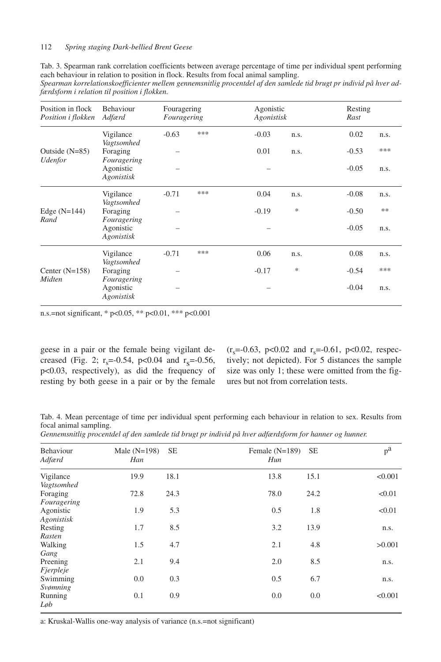|                                                                                      |  |  |  | Tab. 3. Spearman rank correlation coefficients between average percentage of time per individual spent performing |  |
|--------------------------------------------------------------------------------------|--|--|--|-------------------------------------------------------------------------------------------------------------------|--|
| each behaviour in relation to position in flock. Results from focal animal sampling. |  |  |  |                                                                                                                   |  |

| Spearman korrelationskoefficienter mellem gennemsnitlig procentdel af den samlede tid brugt pr individ på hver ad- |  |  |  |
|--------------------------------------------------------------------------------------------------------------------|--|--|--|
| færdsform i relation til position i flokken.                                                                       |  |  |  |

| Position in flock<br>Position i flokken          | <b>Behaviour</b><br>Adfærd             | Fouragering<br>Fouragering |     | Agonistic<br>Agonistisk |        | Resting<br>Rast |      |  |
|--------------------------------------------------|----------------------------------------|----------------------------|-----|-------------------------|--------|-----------------|------|--|
|                                                  | Vigilance                              | $-0.63$                    | *** | $-0.03$                 | n.s.   | 0.02            | n.s. |  |
| Outside $(N=85)$<br><i><u><b>Udenfor</b></u></i> | Vagtsomhed<br>Foraging<br>Fouragering  |                            |     | 0.01                    | n.s.   | $-0.53$         | ***  |  |
|                                                  | Agonistic<br>Agonistisk                |                            |     |                         |        | $-0.05$         | n.s. |  |
|                                                  | Vigilance                              | $-0.71$                    | *** | 0.04                    | n.s.   | $-0.08$         | n.s. |  |
| Edge $(N=144)$                                   | Vagtsomhed<br>Foraging                 |                            |     | $-0.19$                 | $\ast$ | $-0.50$         | **   |  |
| Rand                                             | Fouragering<br>Agonistic<br>Agonistisk |                            |     |                         |        | $-0.05$         | n.s. |  |
|                                                  | Vigilance                              | $-0.71$                    | *** | 0.06                    | n.s.   | 0.08            | n.s. |  |
| Center $(N=158)$<br>Midten                       | Vagtsomhed<br>Foraging                 |                            |     | $-0.17$                 | $\ast$ | $-0.54$         | ***  |  |
|                                                  | Fouragering<br>Agonistic<br>Agonistisk |                            |     |                         |        | $-0.04$         | n.s. |  |

n.s.=not significant, \* p<0.05, \*\* p<0.01, \*\*\* p<0.001

geese in a pair or the female being vigilant decreased (Fig. 2;  $r_s = -0.54$ ,  $p < 0.04$  and  $r_s = -0.56$ , p<0.03, respectively), as did the frequency of resting by both geese in a pair or by the female  $(r_s = 0.63, p < 0.02$  and  $r_s = 0.61, p < 0.02$ , respectively; not depicted). For 5 distances the sample size was only 1; these were omitted from the figures but not from correlation tests.

Tab. 4. Mean percentage of time per individual spent performing each behaviour in relation to sex. Results from focal animal sampling.

| Gennemsnitlig procentdel af den samlede tid brugt pr individ på hver adfærdsform for hanner og hunner. |  |  |  |  |
|--------------------------------------------------------------------------------------------------------|--|--|--|--|
|--------------------------------------------------------------------------------------------------------|--|--|--|--|

| Behaviour<br>Adfærd     | Male $(N=198)$<br>Han | <b>SE</b> | Female $(N=189)$<br>Hun | <b>SE</b> | $p^a$   |
|-------------------------|-----------------------|-----------|-------------------------|-----------|---------|
| Vigilance<br>Vagtsomhed | 19.9                  | 18.1      | 13.8                    | 15.1      | < 0.001 |
| Foraging<br>Fouragering | 72.8                  | 24.3      | 78.0                    | 24.2      | < 0.01  |
| Agonistic<br>Agonistisk | 1.9                   | 5.3       | 0.5                     | 1.8       | < 0.01  |
| Resting<br>Rasten       | 1.7                   | 8.5       | 3.2                     | 13.9      | n.s.    |
| Walking<br>Gang         | 1.5                   | 4.7       | 2.1                     | 4.8       | >0.001  |
| Preening<br>Fjerpleje   | 2.1                   | 9.4       | 2.0                     | 8.5       | n.s.    |
| Swimming<br>Svømning    | 0.0                   | 0.3       | 0.5                     | 6.7       | n.s.    |
| Running<br>$L_{\phi}b$  | 0.1                   | 0.9       | 0.0                     | 0.0       | < 0.001 |

a: Kruskal-Wallis one-way analysis of variance (n.s.=not significant)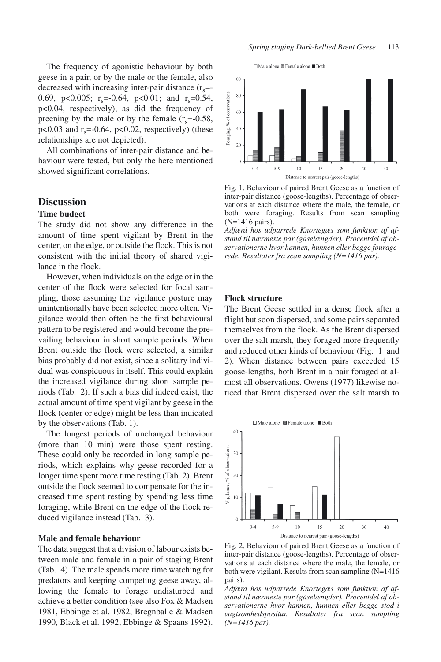The frequency of agonistic behaviour by both geese in a pair, or by the male or the female, also decreased with increasing inter-pair distance  $(r<sub>s</sub>=$ 0.69, p<0.005; r<sub>s</sub>=-0.64, p<0.01; and r<sub>s</sub>=0.54, p<0.04, respectively), as did the frequency of preening by the male or by the female  $(r_s=0.58,$  $p<0.03$  and  $r<sub>s</sub>=0.64$ ,  $p<0.02$ , respectively) (these relationships are not depicted).

All combinations of inter-pair distance and behaviour were tested, but only the here mentioned showed significant correlations.

# **Discussion**

## **Time budget**

The study did not show any difference in the amount of time spent vigilant by Brent in the center, on the edge, or outside the flock. This is not consistent with the initial theory of shared vigilance in the flock.

However, when individuals on the edge or in the center of the flock were selected for focal sampling, those assuming the vigilance posture may unintentionally have been selected more often. Vigilance would then often be the first behavioural pattern to be registered and would become the prevailing behaviour in short sample periods. When Brent outside the flock were selected, a similar bias probably did not exist, since a solitary individual was conspicuous in itself. This could explain the increased vigilance during short sample periods (Tab. 2). If such a bias did indeed exist, the actual amount of time spent vigilant by geese in the flock (center or edge) might be less than indicated by the observations (Tab. 1).

The longest periods of unchanged behaviour (more than 10 min) were those spent resting. These could only be recorded in long sample periods, which explains why geese recorded for a longer time spent more time resting (Tab. 2). Brent outside the flock seemed to compensate for the increased time spent resting by spending less time foraging, while Brent on the edge of the flock reduced vigilance instead (Tab. 3).

## **Male and female behaviour**

The data suggest that a division of labour exists between male and female in a pair of staging Brent (Tab. 4). The male spends more time watching for predators and keeping competing geese away, allowing the female to forage undisturbed and achieve a better condition (see also Fox & Madsen 1981, Ebbinge et al. 1982, Bregnballe & Madsen 1990, Black et al. 1992, Ebbinge & Spaans 1992).





Fig. 1. Behaviour of paired Brent Geese as a function of inter-pair distance (goose-lengths). Percentage of observations at each distance where the male, the female, or both were foraging. Results from scan sampling (N=1416 pairs).

*Adfærd hos udparrede Knortegæs som funktion af afstand til nærmeste par (gåselængder). Procentdel af observationerne hvor hannen, hunnen eller begge fouragerede. Resultater fra scan sampling (N=1416 par).*

#### **Flock structure**

The Brent Geese settled in a dense flock after a flight but soon dispersed, and some pairs separated themselves from the flock. As the Brent dispersed over the salt marsh, they foraged more frequently and reduced other kinds of behaviour (Fig. 1 and 2). When distance between pairs exceeded 15 goose-lengths, both Brent in a pair foraged at almost all observations. Owens (1977) likewise noticed that Brent dispersed over the salt marsh to



Fig. 2. Behaviour of paired Brent Geese as a function of inter-pair distance (goose-lengths). Percentage of observations at each distance where the male, the female, or both were vigilant. Results from scan sampling (N=1416 pairs).

*Adfærd hos udparrede Knortegæs som funktion af afstand til nærmeste par (gåselængder). Procentdel af observationerne hvor hannen, hunnen eller begge stod i vagtsomhedspositur. Resultater fra scan sampling (N=1416 par).*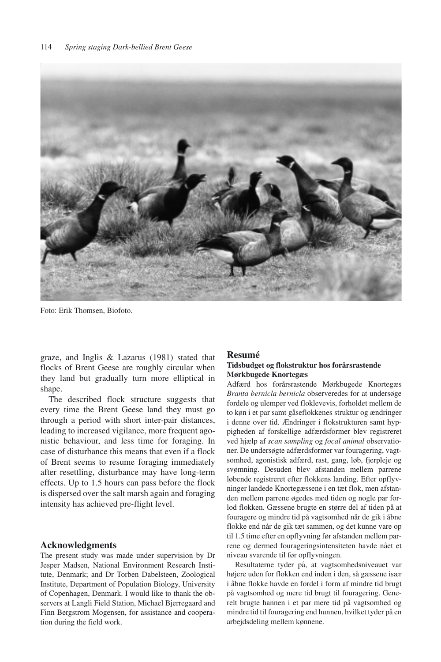

Foto: Erik Thomsen, Biofoto.

graze, and Inglis & Lazarus (1981) stated that flocks of Brent Geese are roughly circular when they land but gradually turn more elliptical in shape.

The described flock structure suggests that every time the Brent Geese land they must go through a period with short inter-pair distances, leading to increased vigilance, more frequent agonistic behaviour, and less time for foraging. In case of disturbance this means that even if a flock of Brent seems to resume foraging immediately after resettling, disturbance may have long-term effects. Up to 1.5 hours can pass before the flock is dispersed over the salt marsh again and foraging intensity has achieved pre-flight level.

## **Acknowledgments**

The present study was made under supervision by Dr Jesper Madsen, National Environment Research Institute, Denmark; and Dr Torben Dabelsteen, Zoological Institute, Department of Population Biology, University of Copenhagen, Denmark. I would like to thank the observers at Langli Field Station, Michael Bjerregaard and Finn Bergstrom Mogensen, for assistance and cooperation during the field work.

#### **Resumé**

## **Tidsbudget og flokstruktur hos forårsrastende Mørkbugede Knortegæs**

Adfærd hos forårsrastende Mørkbugede Knortegæs *Branta bernicla bernicla* observeredes for at undersøge fordele og ulemper ved floklevevis, forholdet mellem de to køn i et par samt gåseflokkenes struktur og ændringer i denne over tid. Ændringer i flokstrukturen samt hyppigheden af forskellige adfærdsformer blev registreret ved hjælp af *scan sampling* og *focal animal* observationer. De undersøgte adfærdsformer var fouragering, vagtsomhed, agonistisk adfærd, rast, gang, løb, fjerpleje og svømning. Desuden blev afstanden mellem parrene løbende registreret efter flokkens landing. Efter opflyvninger landede Knortegæssene i en tæt flok, men afstanden mellem parrene øgedes med tiden og nogle par forlod flokken. Gæssene brugte en større del af tiden på at fouragere og mindre tid på vagtsomhed når de gik i åbne flokke end når de gik tæt sammen, og det kunne vare op til 1.5 time efter en opflyvning før afstanden mellem parrene og dermed fourageringsintensiteten havde nået et niveau svarende til før opflyvningen.

Resultaterne tyder på, at vagtsomhedsniveauet var højere uden for flokken end inden i den, så gæssene især i åbne flokke havde en fordel i form af mindre tid brugt på vagtsomhed og mere tid brugt til fouragering. Generelt brugte hannen i et par mere tid på vagtsomhed og mindre tid til fouragering end hunnen, hvilket tyder på en arbejdsdeling mellem kønnene.